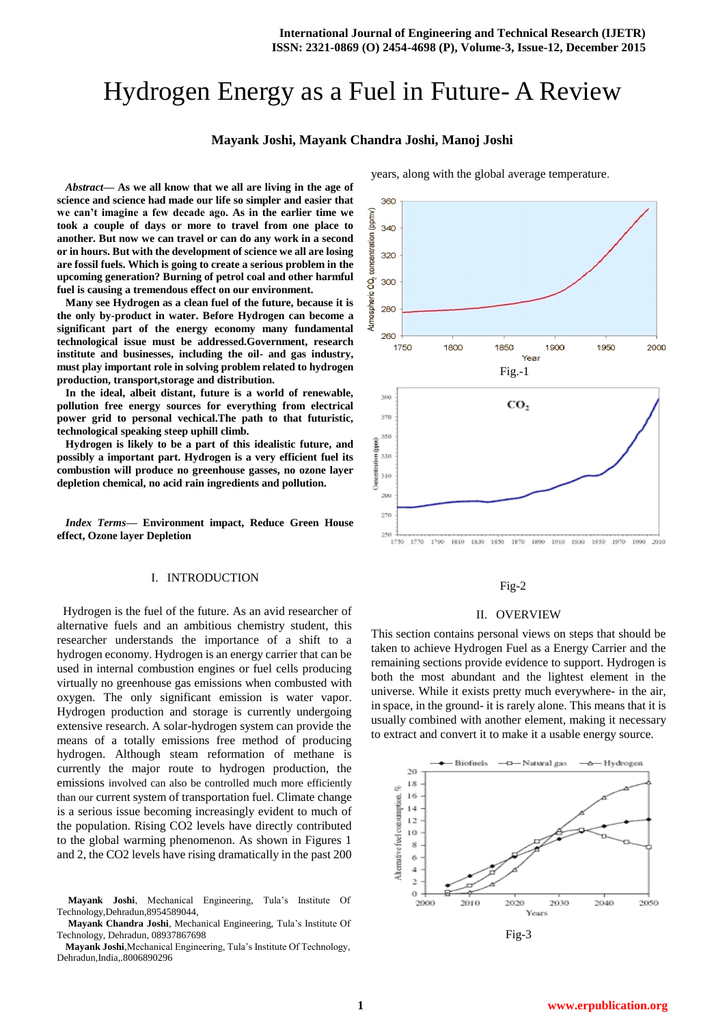# Hydrogen Energy as a Fuel in Future- A Review

# **Mayank Joshi, Mayank Chandra Joshi, Manoj Joshi**

*Abstract***— As we all know that we all are living in the age of science and science had made our life so simpler and easier that we can't imagine a few decade ago. As in the earlier time we took a couple of days or more to travel from one place to another. But now we can travel or can do any work in a second or in hours. But with the development of science we all are losing are fossil fuels. Which is going to create a serious problem in the upcoming generation? Burning of petrol coal and other harmful fuel is causing a tremendous effect on our environment.** 

**Many see Hydrogen as a clean fuel of the future, because it is the only by-product in water. Before Hydrogen can become a significant part of the energy economy many fundamental technological issue must be addressed.Government, research institute and businesses, including the oil- and gas industry, must play important role in solving problem related to hydrogen production, transport,storage and distribution.** 

**In the ideal, albeit distant, future is a world of renewable, pollution free energy sources for everything from electrical power grid to personal vechical.The path to that futuristic, technological speaking steep uphill climb.**

**Hydrogen is likely to be a part of this idealistic future, and possibly a important part. Hydrogen is a very efficient fuel its combustion will produce no greenhouse gasses, no ozone layer depletion chemical, no acid rain ingredients and pollution.** 

*Index Terms***— Environment impact, Reduce Green House effect, Ozone layer Depletion**

#### I. INTRODUCTION

 Hydrogen is the fuel of the future. As an avid researcher of alternative fuels and an ambitious chemistry student, this researcher understands the importance of a shift to a hydrogen economy. Hydrogen is an energy carrier that can be used in internal combustion engines or fuel cells producing virtually no greenhouse gas emissions when combusted with oxygen. The only significant emission is water vapor. Hydrogen production and storage is currently undergoing extensive research. A solar-hydrogen system can provide the means of a totally emissions free method of producing hydrogen. Although steam reformation of methane is currently the major route to hydrogen production, the emissions involved can also be controlled much more efficiently than our current system of transportation fuel. Climate change is a serious issue becoming increasingly evident to much of the population. Rising CO2 levels have directly contributed to the global warming phenomenon. As shown in Figures 1 and 2, the CO2 levels have rising dramatically in the past 200

#### Fig-2

#### II. OVERVIEW

This section contains personal views on steps that should be taken to achieve Hydrogen Fuel as a Energy Carrier and the remaining sections provide evidence to support. Hydrogen is both the most abundant and the lightest element in the universe. While it exists pretty much everywhere- in the air, in space, in the ground- it is rarely alone. This means that it is usually combined with another element, making it necessary to extract and convert it to make it a usable energy source.



years, along with the global average temperature.

**Mayank Joshi**, Mechanical Engineering, Tula's Institute Of Technology,Dehradun,8954589044,

**Mayank Chandra Joshi**, Mechanical Engineering, Tula's Institute Of Technology, Dehradun, 08937867698

**Mayank Joshi**,Mechanical Engineering, Tula's Institute Of Technology, Dehradun,India,.8006890296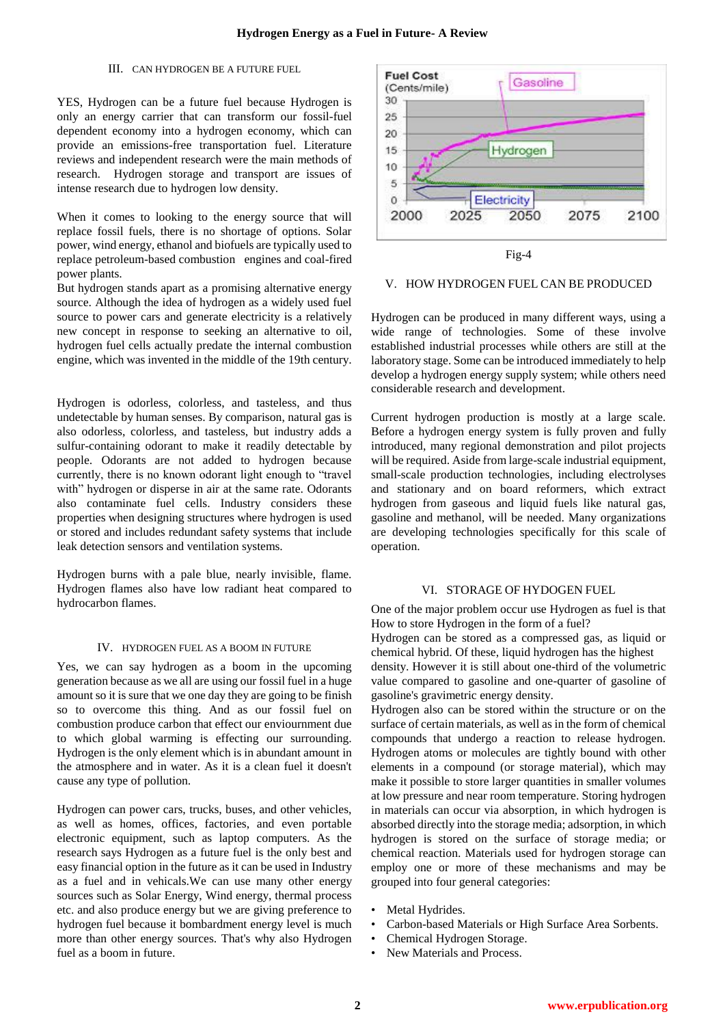# III. CAN HYDROGEN BE A FUTURE FUEL

YES, Hydrogen can be a future fuel because Hydrogen is only an energy carrier that can transform our fossil-fuel dependent economy into a hydrogen economy, which can provide an emissions-free transportation fuel. Literature reviews and independent research were the main methods of research. Hydrogen storage and transport are issues of intense research due to hydrogen low density.

When it comes to looking to the energy source that will replace fossil fuels, there is no shortage of options. Solar power, wind energy, ethanol and biofuels are typically used to replace petroleum-based combustion engines and coal-fired power plants.

But hydrogen stands apart as a promising alternative energy source. Although the idea of hydrogen as a widely used fuel source to power cars and generate electricity is a relatively new concept in response to seeking an alternative to oil, hydrogen fuel cells actually predate the internal combustion engine, which was invented in the middle of the 19th century.

Hydrogen is odorless, colorless, and tasteless, and thus undetectable by human senses. By comparison, natural gas is also odorless, colorless, and tasteless, but industry adds a sulfur-containing odorant to make it readily detectable by people. Odorants are not added to hydrogen because currently, there is no known odorant light enough to "travel with" hydrogen or disperse in air at the same rate. Odorants also contaminate fuel cells. Industry considers these properties when designing structures where hydrogen is used or stored and includes redundant safety systems that include leak detection sensors and ventilation systems.

Hydrogen burns with a pale blue, nearly invisible, flame. Hydrogen flames also have low radiant heat compared to hydrocarbon flames.

#### IV. HYDROGEN FUEL AS A BOOM IN FUTURE

Yes, we can say hydrogen as a boom in the upcoming generation because as we all are using our fossil fuel in a huge amount so it is sure that we one day they are going to be finish so to overcome this thing. And as our fossil fuel on combustion produce carbon that effect our enviournment due to which global warming is effecting our surrounding. Hydrogen is the only element which is in abundant amount in the atmosphere and in water. As it is a clean fuel it doesn't cause any type of pollution.

Hydrogen can power cars, trucks, buses, and other vehicles, as well as homes, offices, factories, and even portable electronic equipment, such as laptop computers. As the research says Hydrogen as a future fuel is the only best and easy financial option in the future as it can be used in Industry as a fuel and in vehicals.We can use many other energy sources such as Solar Energy, Wind energy, thermal process etc. and also produce energy but we are giving preference to hydrogen fuel because it bombardment energy level is much more than other energy sources. That's why also Hydrogen fuel as a boom in future.



#### V. HOW HYDROGEN FUEL CAN BE PRODUCED

Hydrogen can be produced in many different ways, using a wide range of technologies. Some of these involve established industrial processes while others are still at the laboratory stage. Some can be introduced immediately to help develop a hydrogen energy supply system; while others need considerable research and development.

Current hydrogen production is mostly at a large scale. Before a hydrogen energy system is fully proven and fully introduced, many regional demonstration and pilot projects will be required. Aside from large-scale industrial equipment, small-scale production technologies, including electrolyses and stationary and on board reformers, which extract hydrogen from gaseous and liquid fuels like natural gas, gasoline and methanol, will be needed. Many organizations are developing technologies specifically for this scale of operation.

#### VI. STORAGE OF HYDOGEN FUEL

One of the major problem occur use Hydrogen as fuel is that How to store Hydrogen in the form of a fuel?

Hydrogen can be stored as a compressed gas, as liquid or chemical hybrid. Of these, liquid hydrogen has the highest

density. However it is still about one-third of the volumetric value compared to gasoline and one-quarter of gasoline of gasoline's gravimetric energy density.

Hydrogen also can be stored within the structure or on the surface of certain materials, as well as in the form of chemical compounds that undergo a reaction to release hydrogen. Hydrogen atoms or molecules are tightly bound with other elements in a compound (or storage material), which may make it possible to store larger quantities in smaller volumes at low pressure and near room temperature. Storing hydrogen in materials can occur via absorption, in which hydrogen is absorbed directly into the storage media; adsorption, in which hydrogen is stored on the surface of storage media; or chemical reaction. Materials used for hydrogen storage can employ one or more of these mechanisms and may be grouped into four general categories:

- Metal Hydrides.
- Carbon-based Materials or High Surface Area Sorbents.
- Chemical Hydrogen Storage.
- New Materials and Process.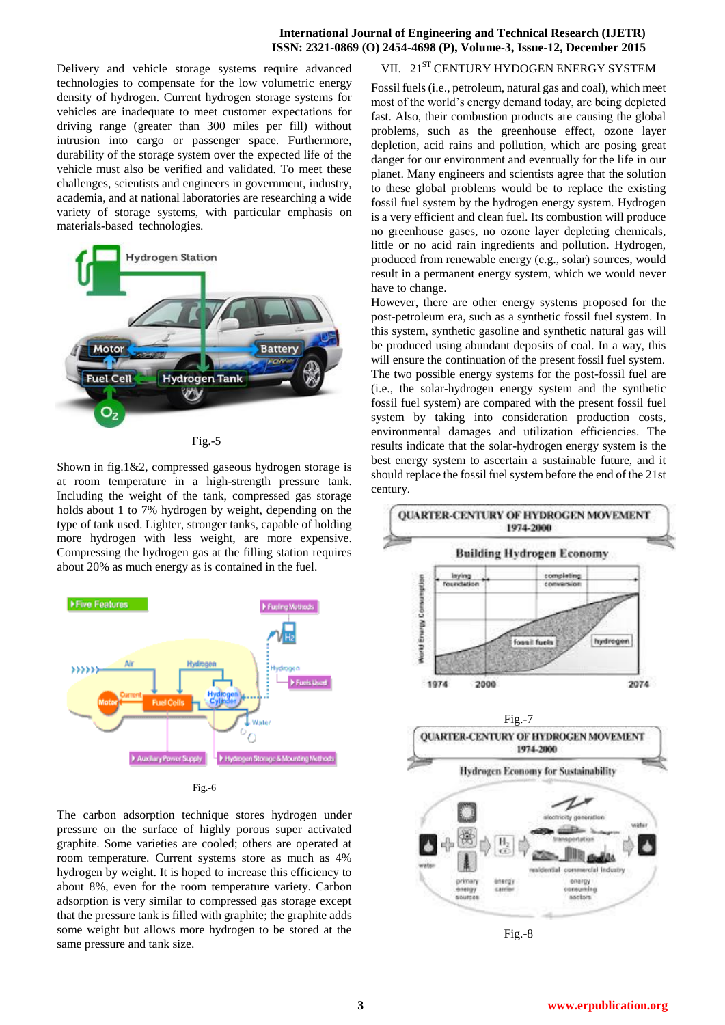# **International Journal of Engineering and Technical Research (IJETR) ISSN: 2321-0869 (O) 2454-4698 (P), Volume-3, Issue-12, December 2015**

Delivery and vehicle storage systems require advanced technologies to compensate for the low volumetric energy density of hydrogen. Current hydrogen storage systems for vehicles are inadequate to meet customer expectations for driving range (greater than 300 miles per fill) without intrusion into cargo or passenger space. Furthermore, durability of the storage system over the expected life of the vehicle must also be verified and validated. To meet these challenges, scientists and engineers in government, industry, academia, and at national laboratories are researching a wide variety of storage systems, with particular emphasis on materials-based technologies.



Fig.-5

Shown in fig.1&2, compressed gaseous hydrogen storage is at room temperature in a high-strength pressure tank. Including the weight of the tank, compressed gas storage holds about 1 to 7% hydrogen by weight, depending on the type of tank used. Lighter, stronger tanks, capable of holding more hydrogen with less weight, are more expensive. Compressing the hydrogen gas at the filling station requires about 20% as much energy as is contained in the fuel.



Fig.-6

The carbon adsorption technique stores hydrogen under pressure on the surface of highly porous super activated graphite. Some varieties are cooled; others are operated at room temperature. Current systems store as much as 4% hydrogen by weight. It is hoped to increase this efficiency to about 8%, even for the room temperature variety. Carbon adsorption is very similar to compressed gas storage except that the pressure tank is filled with graphite; the graphite adds some weight but allows more hydrogen to be stored at the same pressure and tank size.

# VII. 21<sup>ST</sup> CENTURY HYDOGEN ENERGY SYSTEM

Fossil fuels (i.e., petroleum, natural gas and coal), which meet most of the world's energy demand today, are being depleted fast. Also, their combustion products are causing the global problems, such as the greenhouse effect, ozone layer depletion, acid rains and pollution, which are posing great danger for our environment and eventually for the life in our planet. Many engineers and scientists agree that the solution to these global problems would be to replace the existing fossil fuel system by the hydrogen energy system. Hydrogen is a very efficient and clean fuel. Its combustion will produce no greenhouse gases, no ozone layer depleting chemicals, little or no acid rain ingredients and pollution. Hydrogen, produced from renewable energy (e.g., solar) sources, would result in a permanent energy system, which we would never have to change.

However, there are other energy systems proposed for the post-petroleum era, such as a synthetic fossil fuel system. In this system, synthetic gasoline and synthetic natural gas will be produced using abundant deposits of coal. In a way, this will ensure the continuation of the present fossil fuel system. The two possible energy systems for the post-fossil fuel are (i.e., the solar-hydrogen energy system and the synthetic fossil fuel system) are compared with the present fossil fuel system by taking into consideration production costs, environmental damages and utilization efficiencies. The results indicate that the solar-hydrogen energy system is the best energy system to ascertain a sustainable future, and it should replace the fossil fuel system before the end of the 21st century.



Fig.-8